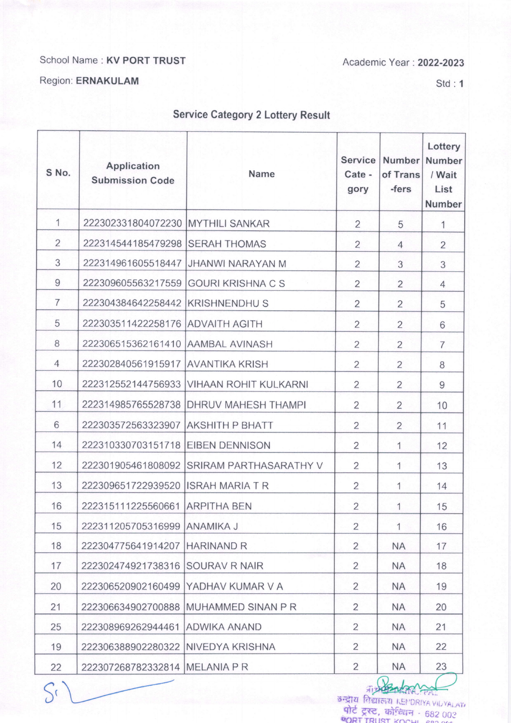## School Name : KV PORT TRUST

Academic Year : 2022-2023

## Region: ERNAKULAM

Std: 1

## Service Category 2 Lottery Result

| S No.          | <b>Application</b><br><b>Submission Code</b> | <b>Name</b>                               | <b>Service</b><br>Cate -<br>gory | <b>Number</b><br>of Trans<br>-fers | Lottery<br><b>Number</b><br>/ Wait<br>List<br><b>Number</b> |
|----------------|----------------------------------------------|-------------------------------------------|----------------------------------|------------------------------------|-------------------------------------------------------------|
| 1              | 222302331804072230 MYTHILI SANKAR            |                                           | $\overline{2}$                   | 5                                  | 1                                                           |
| $\overline{2}$ | 222314544185479298 SERAH THOMAS              |                                           | $\overline{2}$                   | $\overline{4}$                     | $\overline{2}$                                              |
| 3              |                                              | 222314961605518447 JJHANWI NARAYAN M      | $\overline{2}$                   | 3                                  | 3                                                           |
| 9              |                                              | 222309605563217559 GOURI KRISHNA C S      | $\overline{2}$                   | $\overline{2}$                     | $\overline{4}$                                              |
| $\overline{7}$ | 222304384642258442 KRISHNENDHU S             |                                           | $\overline{2}$                   | $\overline{2}$                     | 5                                                           |
| 5              | 222303511422258176 ADVAITH AGITH             |                                           | $\overline{2}$                   | $\overline{2}$                     | 6                                                           |
| 8              | 222306515362161410 AAMBAL AVINASH            |                                           | $\overline{2}$                   | $\overline{2}$                     | $\overline{7}$                                              |
| $\overline{4}$ | 222302840561915917 AVANTIKA KRISH            |                                           | $\overline{2}$                   | $\overline{2}$                     | 8                                                           |
| 10             |                                              | 222312552144756933 VIHAAN ROHIT KULKARNI  | $\overline{2}$                   | $\overline{2}$                     | 9                                                           |
| 11             |                                              | 222314985765528738 DHRUV MAHESH THAMPI    | $\overline{2}$                   | $\overline{2}$                     | 10                                                          |
| 6              | 222303572563323907 AKSHITH P BHATT           |                                           | $\overline{2}$                   | $\overline{2}$                     | 11                                                          |
| 14             | 222310330703151718 EIBEN DENNISON            |                                           | $\overline{2}$                   | 1                                  | 12                                                          |
| 12             |                                              | 222301905461808092 SRIRAM PARTHASARATHY V | $\overline{2}$                   | 1                                  | 13                                                          |
| 13             | 222309651722939520 ISRAH MARIA T R           |                                           | $\overline{2}$                   | 1                                  | 14                                                          |
| 16             | 222315111225560661 ARPITHA BEN               |                                           | $\overline{2}$                   | 1                                  | 15                                                          |
| 15             | 222311205705316999 ANAMIKA J                 |                                           | $\overline{2}$                   | 1                                  | 16                                                          |
| 18             | 222304775641914207 HARINAND R                |                                           | $\overline{2}$                   | <b>NA</b>                          | 17                                                          |
| 17             | 222302474921738316 SOURAV R NAIR             |                                           | $\overline{2}$                   | <b>NA</b>                          | 18                                                          |
| 20             | 222306520902160499 YADHAV KUMAR V A          |                                           | $\overline{2}$                   | <b>NA</b>                          | 19                                                          |
| 21             | 222306634902700888                           | MUHAMMED SINAN P R                        | $\overline{2}$                   | <b>NA</b>                          | 20                                                          |
| 25             | 222308969262944461 ADWIKA ANAND              |                                           | $\overline{2}$                   | <b>NA</b>                          | 21                                                          |
| 19             | 222306388902280322 NIVEDYA KRISHNA           |                                           | $\overline{2}$                   | <b>NA</b>                          | 22                                                          |
| 22             | 222307268782332814 MELANIA P R               |                                           | $\overline{2}$                   | <b>NA</b>                          | 23                                                          |
|                |                                              |                                           | $int =$                          |                                    | জন্মীয় বিষ্মানয় KEMDRIYA VILYALAY                         |

कन्द्रीय विद्यालय KEPDRIYA VIDYALAY<br>**पोर्ट ट्रस्ट, को**न्ट्रियन - 682 00? ORT TRUST KOCHL, 882 00-